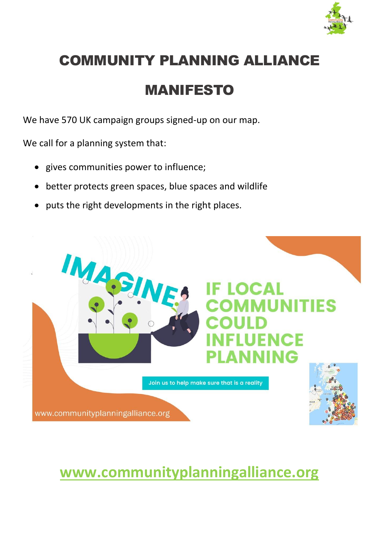

# COMMUNITY PLANNING ALLIANCE

## MANIFESTO

We have 570 UK campaign groups signed-up on our map.

We call for a planning system that:

- gives communities power to influence;
- better protects green spaces, blue spaces and wildlife
- puts the right developments in the right places.



## **[www.communityplanningalliance.org](about:blank)**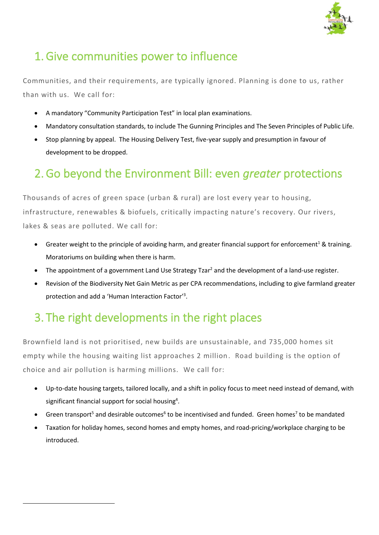

#### 1.Give communities power to influence

Communities, and their requirements, are typically ignored. Planning is done to us, rather than with us. We call for:

- A mandatory "Community Participation Test" in local plan examinations.
- Mandatory consultation standards, to include The Gunning Principles and The Seven Principles of Public Life.
- Stop planning by appeal. The Housing Delivery Test, five-year supply and presumption in favour of development to be dropped.

#### 2.Go beyond the Environment Bill: even *greater* protections

Thousands of acres of green space (urban & rural) are lost every year to housing, infrastructure, renewables & biofuels, critically impacting nature's recovery. Our rivers, lakes & seas are polluted. We call for:

- Greater weight to the principle of avoiding harm, and greater financial support for enforcement<sup>1</sup> & training. Moratoriums on building when there is harm.
- The appointment of a government Land Use Strategy Tzar<sup>2</sup> and the development of a land-use register.
- Revision of the Biodiversity Net Gain Metric as per CPA recommendations, including to give farmland greater protection and add a 'Human Interaction Factor'<sup>3</sup> .

### 3. The right developments in the right places

Brownfield land is not prioritised, new builds are unsustainable, and 735,000 homes sit empty while the housing waiting list approaches 2 million. Road building is the option of choice and air pollution is harming millions. We call for:

- Up-to-date housing targets, tailored locally, and a shift in policy focus to meet need instead of demand, with significant financial support for social housing<sup>4</sup>.
- Green transport<sup>5</sup> and desirable outcomes<sup>6</sup> to be incentivised and funded. Green homes<sup>7</sup> to be mandated
- Taxation for holiday homes, second homes and empty homes, and road-pricing/workplace charging to be introduced.